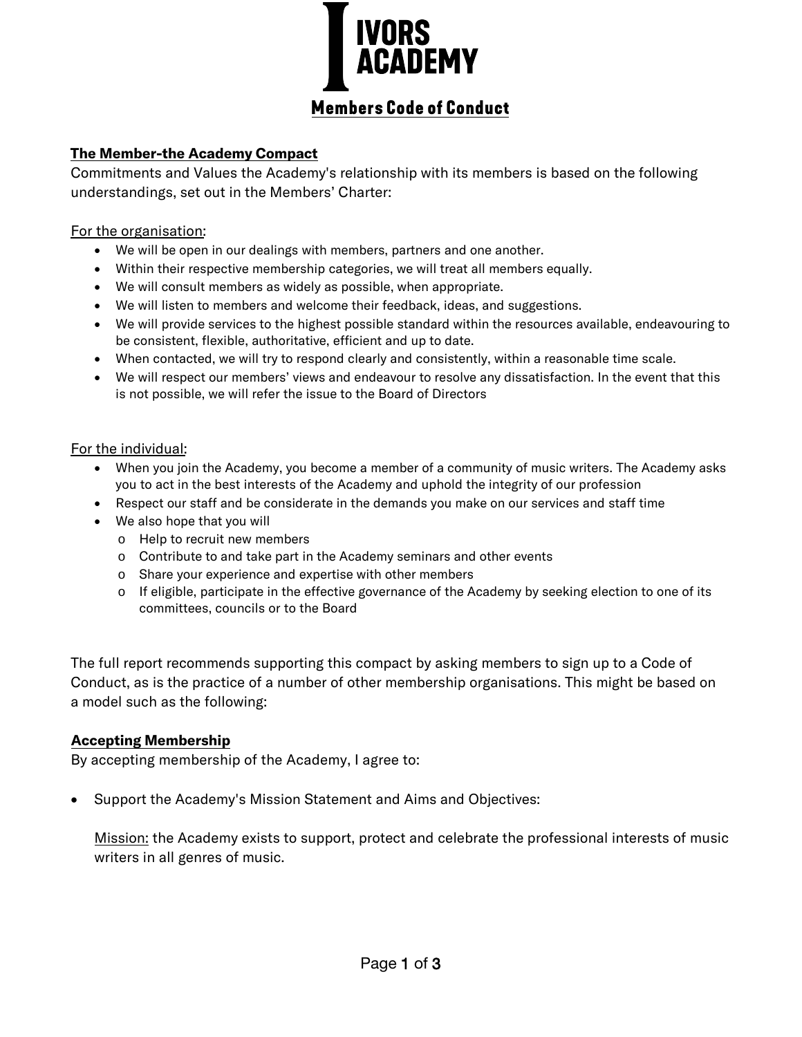

# **Members Code of Conduct**

## **The Member-the Academy Compact**

Commitments and Values the Academy's relationship with its members is based on the following understandings, set out in the Members' Charter:

## For the organisation:

- We will be open in our dealings with members, partners and one another.
- Within their respective membership categories, we will treat all members equally.
- We will consult members as widely as possible, when appropriate.
- We will listen to members and welcome their feedback, ideas, and suggestions.
- We will provide services to the highest possible standard within the resources available, endeavouring to be consistent, flexible, authoritative, efficient and up to date.
- When contacted, we will try to respond clearly and consistently, within a reasonable time scale.
- We will respect our members' views and endeavour to resolve any dissatisfaction. In the event that this is not possible, we will refer the issue to the Board of Directors

#### For the individual:

- When you join the Academy, you become a member of a community of music writers. The Academy asks you to act in the best interests of the Academy and uphold the integrity of our profession
- Respect our staff and be considerate in the demands you make on our services and staff time
- We also hope that you will
	- o Help to recruit new members
	- o Contribute to and take part in the Academy seminars and other events
	- o Share your experience and expertise with other members
	- o If eligible, participate in the effective governance of the Academy by seeking election to one of its committees, councils or to the Board

The full report recommends supporting this compact by asking members to sign up to a Code of Conduct, as is the practice of a number of other membership organisations. This might be based on a model such as the following:

## **Accepting Membership**

By accepting membership of the Academy, I agree to:

• Support the Academy's Mission Statement and Aims and Objectives:

Mission: the Academy exists to support, protect and celebrate the professional interests of music writers in all genres of music.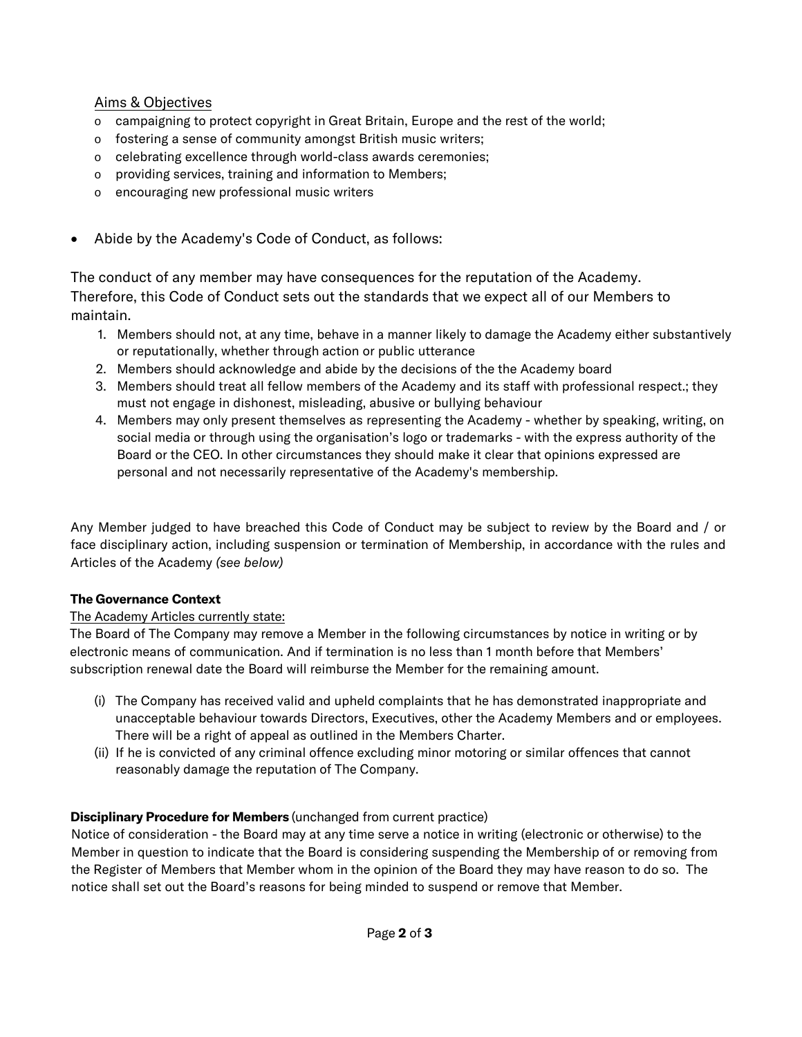## Aims & Objectives

- o campaigning to protect copyright in Great Britain, Europe and the rest of the world;
- o fostering a sense of community amongst British music writers;
- o celebrating excellence through world-class awards ceremonies;
- o providing services, training and information to Members;
- o encouraging new professional music writers
- Abide by the Academy's Code of Conduct, as follows:

The conduct of any member may have consequences for the reputation of the Academy. Therefore, this Code of Conduct sets out the standards that we expect all of our Members to maintain.

- 1. Members should not, at any time, behave in a manner likely to damage the Academy either substantively or reputationally, whether through action or public utterance
- 2. Members should acknowledge and abide by the decisions of the the Academy board
- 3. Members should treat all fellow members of the Academy and its staff with professional respect.; they must not engage in dishonest, misleading, abusive or bullying behaviour
- 4. Members may only present themselves as representing the Academy whether by speaking, writing, on social media or through using the organisation's logo or trademarks - with the express authority of the Board or the CEO. In other circumstances they should make it clear that opinions expressed are personal and not necessarily representative of the Academy's membership.

Any Member judged to have breached this Code of Conduct may be subject to review by the Board and / or face disciplinary action, including suspension or termination of Membership, in accordance with the rules and Articles of the Academy *(see below)*

#### **The Governance Context**

#### The Academy Articles currently state:

The Board of The Company may remove a Member in the following circumstances by notice in writing or by electronic means of communication. And if termination is no less than 1 month before that Members' subscription renewal date the Board will reimburse the Member for the remaining amount.

- (i) The Company has received valid and upheld complaints that he has demonstrated inappropriate and unacceptable behaviour towards Directors, Executives, other the Academy Members and or employees. There will be a right of appeal as outlined in the Members Charter.
- (ii) If he is convicted of any criminal offence excluding minor motoring or similar offences that cannot reasonably damage the reputation of The Company.

## **Disciplinary Procedure for Members** (unchanged from current practice)

Notice of consideration - the Board may at any time serve a notice in writing (electronic or otherwise) to the Member in question to indicate that the Board is considering suspending the Membership of or removing from the Register of Members that Member whom in the opinion of the Board they may have reason to do so. The notice shall set out the Board's reasons for being minded to suspend or remove that Member.